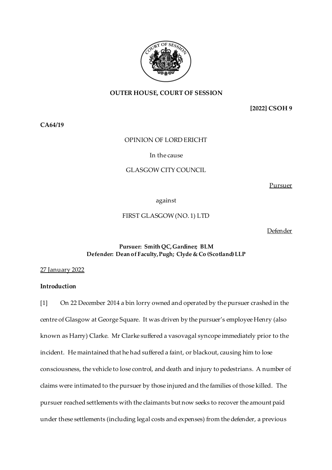

# **OUTER HOUSE, COURT OF SESSION**

**[2022] CSOH 9**

**CA64/19**

# OPINION OF LORD ERICHT

### In the cause

# GLASGOW CITY COUNCIL

Pursuer

against

FIRST GLASGOW (NO. 1) LTD

Defender

# **Pursuer: Smith QC, Gardiner; BLM Defender: Dean of Faculty, Pugh; Clyde & Co (Scotland) LLP**

27 January 2022

# **Introduction**

[1] On 22 December 2014 a bin lorry owned and operated by the pursuer crashed in the centre of Glasgow at George Square. It was driven by the pursuer's employee Henry (also known as Harry) Clarke. Mr Clarke suffered a vasovagal syncope immediately prior to the incident. He maintained that he had suffered a faint, or blackout, causing him to lose consciousness, the vehicle to lose control, and death and injury to pedestrians. A number of claims were intimated to the pursuer by those injured and the families of those killed. The pursuer reached settlements with the claimants but now seeks to recover the amount paid under these settlements (including legal costs and expenses) from the defender, a previous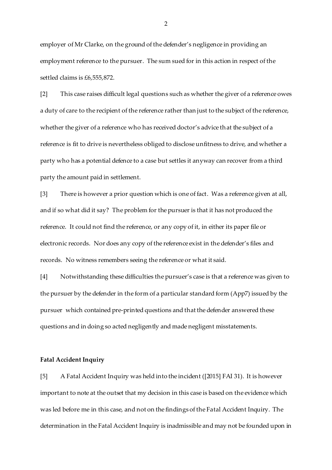employer of Mr Clarke, on the ground of the defender's negligence in providing an employment reference to the pursuer. The sum sued for in this action in respect of the settled claims is £6,555,872.

[2] This case raises difficult legal questions such as whether the giver of a reference owes a duty of care to the recipient of the reference rather than just to the subject of the reference, whether the giver of a reference who has received doctor's advice that the subject of a reference is fit to drive is nevertheless obliged to disclose unfitness to drive, and whether a party who has a potential defence to a case but settles it anyway can recover from a third party the amount paid in settlement.

[3] There is however a prior question which is one of fact. Was a reference given at all, and if so what did it say? The problem for the pursuer is that it has not produced the reference. It could not find the reference, or any copy of it, in either its paper file or electronic records. Nor does any copy of the reference exist in the defender's files and records. No witness remembers seeing the reference or what it said.

[4] Notwithstanding these difficulties the pursuer's case is that a reference was given to the pursuer by the defender in the form of a particular standard form (App7) issued by the pursuer which contained pre-printed questions and that the defender answered these questions and in doing so acted negligently and made negligent misstatements.

#### **Fatal Accident Inquiry**

[5] A Fatal Accident Inquiry was held into the incident ([2015] FAI 31). It is however important to note at the outset that my decision in this case is based on the evidence which was led before me in this case, and not on the findings of the Fatal Accident Inquiry. The determination in the Fatal Accident Inquiry is inadmissible and may not be founded upon in

 $\mathfrak{D}$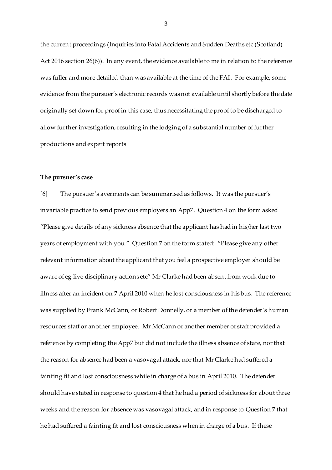the current proceedings (Inquiries into Fatal Accidents and Sudden Deaths etc (Scotland) Act 2016 section 26(6)). In any event, the evidence available to me in relation to the reference was fuller and more detailed than was available at the time of the FAI. For example, some evidence from the pursuer's electronic records was not available until shortly before the date originally set down for proof in this case, thus necessitating the proof to be discharged to allow further investigation, resulting in the lodging of a substantial number of further productions and expert reports

#### **The pursuer's case**

[6] The pursuer's averments can be summarised as follows. It was the pursuer's invariable practice to send previous employers an App7. Question 4 on the form asked "Please give details of any sickness absence that the applicant has had in his/her last two years of employment with you." Question 7 on the form stated: "Please give any other relevant information about the applicant that you feel a prospective employer should be aware of eg live disciplinary actions etc" Mr Clarke had been absent from work due to illness after an incident on 7 April 2010 when he lost consciousness in his bus. The reference was supplied by Frank McCann, or Robert Donnelly, or a member of the defender's human resources staff or another employee. Mr McCann or another member of staff provided a reference by completing the App7 but did not include the illness absence of state, nor that the reason for absence had been a vasovagal attack, nor that Mr Clarke had suffered a fainting fit and lost consciousness while in charge of a bus in April 2010. The defender should have stated in response to question 4 that he had a period of sickness for about three weeks and the reason for absence was vasovagal attack, and in response to Question 7 that he had suffered a fainting fit and lost consciousness when in charge of a bus. If these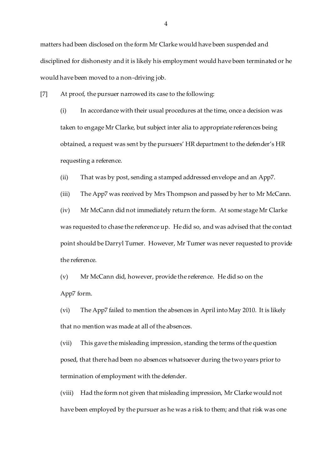matters had been disclosed on the form Mr Clarke would have been suspended and disciplined for dishonesty and it is likely his employment would have been terminated or he would have been moved to a non-driving job.

[7] At proof, the pursuer narrowed its case to the following:

(i) In accordance with their usual procedures at the time, once a decision was taken to engage Mr Clarke, but subject inter alia to appropriate references being obtained, a request was sent by the pursuers' HR department to the defender's HR requesting a reference.

(ii) That was by post, sending a stamped addressed envelope and an App7.

(iii) The App7 was received by Mrs Thompson and passed by her to Mr McCann.

(iv) Mr McCann did not immediately return the form. At some stage Mr Clarke was requested to chase the reference up. He did so, and was advised that the contact point should be Darryl Turner. However, Mr Turner was never requested to provide the reference.

(v) Mr McCann did, however, provide the reference. He did so on the App7 form.

(vi) The App7 failed to mention the absences in April into May 2010. It is likely that no mention was made at all of the absences.

(vii) This gave the misleading impression, standing the terms of the question posed, that there had been no absences whatsoever during the two years prior to termination of employment with the defender.

(viii) Had the form not given that misleading impression, Mr Clarke would not have been employed by the pursuer as he was a risk to them; and that risk was one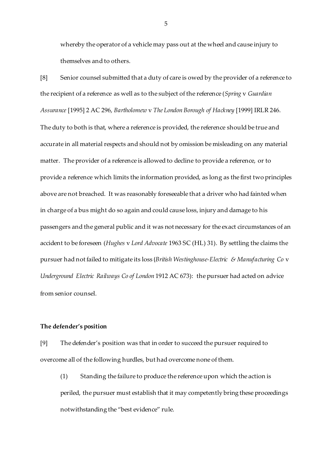whereby the operator of a vehicle may pass out at the wheel and cause injury to themselves and to others.

[8] Senior counsel submitted that a duty of care is owed by the provider of a reference to the recipient of a reference as well as to the subject of the reference (*Spring* v *Guardian Assurance* [1995] 2 AC 296, *Bartholomew* v *The London Borough of Hackney* [1999] IRLR 246. The duty to both is that, where a reference is provided, the reference should be true and accurate in all material respects and should not by omission be misleading on any material matter. The provider of a reference is allowed to decline to provide a reference, or to provide a reference which limits the information provided, as long as the first two principles above are not breached. It was reasonably foreseeable that a driver who had fainted when in charge of a bus might do so again and could cause loss, injury and damage to his passengers and the general public and it was not necessary for the exact circumstances of an accident to be foreseen (*Hughes* v *Lord Advocate* 1963 SC (HL) 31). By settling the claims the pursuer had not failed to mitigate its loss (*British Westinghouse-Electric & Manufacturing Co* v *Underground Electric Railways Co of London* 1912 AC 673): the pursuer had acted on advice from senior counsel.

# **The defender's position**

[9] The defender's position was that in order to succeed the pursuer required to overcome all of the following hurdles, but had overcome none of them.

(1) Standing the failure to produce the reference upon which the action is periled, the pursuer must establish that it may competently bring these proceedings notwithstanding the "best evidence" rule.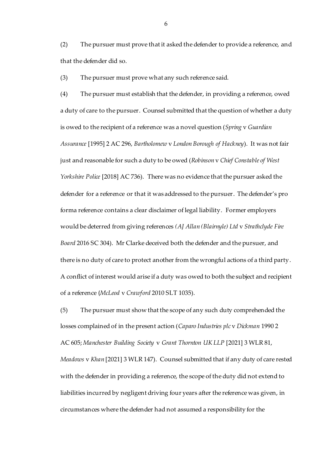(2) The pursuer must prove that it asked the defender to provide a reference, and that the defender did so.

(3) The pursuer must prove what any such reference said.

(4) The pursuer must establish that the defender, in providing a reference, owed a duty of care to the pursuer. Counsel submitted that the question of whether a duty is owed to the recipient of a reference was a novel question (*Spring* v *Guardian Assurance* [1995] 2 AC 296, *Bartholomew* v *London Borough of Hackney*). It was not fair just and reasonable for such a duty to be owed (*Robinson* v *Chief Constable of West Yorkshire Police* [2018] AC 736). There was no evidence that the pursuer asked the defender for a reference or that it was addressed to the pursuer. The defender's pro forma reference contains a clear disclaimer of legal liability. Former employers would be deterred from giving references *(AJ Allan (Blairnyle) Ltd* v *Strathclyde Fire Board* 2016 SC 304). Mr Clarke deceived both the defender and the pursuer, and there is no duty of care to protect another from the wrongful actions of a third party. A conflict of interest would arise if a duty was owed to both the subject and recipient of a reference (*McLeod* v *Crawford* 2010 SLT 1035).

(5) The pursuer must show that the scope of any such duty comprehended the losses complained of in the present action (*Caparo Industries plc* v *Dickman* 1990 2 AC 605; *Manchester Building Society* v *Grant Thornton UK LLP* [2021] 3 WLR 81, *Meadows* v *Khan* [2021] 3 WLR 147). Counsel submitted that if any duty of care rested with the defender in providing a reference, the scope of the duty did not extend to liabilities incurred by negligent driving four years after the reference was given, in circumstances where the defender had not assumed a responsibility for the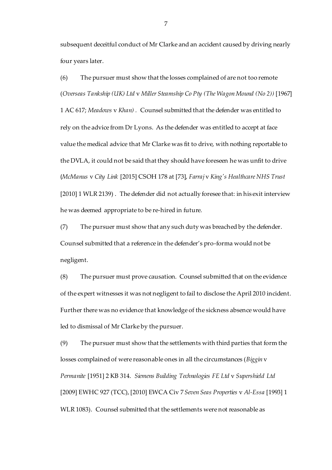subsequent deceitful conduct of Mr Clarke and an accident caused by driving nearly four years later.

(6) The pursuer must show that the losses complained of are not too remote (*Overseas Tankship (UK) Ltd* v *Miller Steamship Co Pty (The Wagon Mound (No 2))* [1967] 1 AC 617; *Meadows* v *Khan) .* Counsel submitted that the defender was entitled to rely on the advice from Dr Lyons. As the defender was entitled to accept at face value the medical advice that Mr Clarke was fit to drive, with nothing reportable to the DVLA, it could not be said that they should have foreseen he was unfit to drive (*McManus* v *City Link* [2015] CSOH 178 at [73], *Farraj* v *King's Healthcare NHS Trust* [2010] 1 WLR 2139). The defender did not actually foresee that: in his exit interview he was deemed appropriate to be re-hired in future.

(7) The pursuer must show that any such duty was breached by the defender. Counsel submitted that a reference in the defender's pro-forma would not be negligent.

(8) The pursuer must prove causation. Counsel submitted that on the evidence of the expert witnesses it was not negligent to fail to disclose the April 2010 incident. Further there was no evidence that knowledge of the sickness absence would have led to dismissal of Mr Clarke by the pursuer.

(9) The pursuer must show that the settlements with third parties that form the losses complained of were reasonable ones in all the circumstances (*Biggin* v *Permanite* [1951] 2 KB 314. *Siemens Building Technologies FE Ltd* v *Supershield Ltd* [2009] EWHC 927 (TCC), [2010] EWCA Civ 7 *Seven Seas Properties* v *Al-Essa* [1993] 1 WLR 1083). Counsel submitted that the settlements were not reasonable as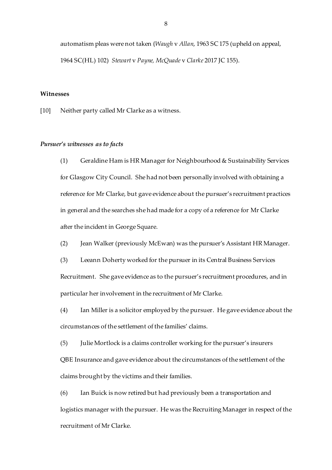automatism pleas were not taken (*Waugh* v *Allan*, 1963 SC 175 (upheld on appeal, 1964 SC(HL) 102) *Stewart* v *Payne, McQuade* v *Clarke* 2017 JC 155).

#### **Witnesses**

[10] Neither party called Mr Clarke as a witness.

## *Pursuer's witnesses as to facts*

(1) Geraldine Ham is HR Manager for Neighbourhood & Sustainability Services for Glasgow City Council. She had not been personally involved with obtaining a reference for Mr Clarke, but gave evidence about the pursuer's recruitment practices in general and the searches she had made for a copy of a reference for Mr Clarke after the incident in George Square.

(2) Jean Walker (previously McEwan) was the pursuer's Assistant HR Manager.

(3) Leeann Doherty worked for the pursuer in its Central Business Services Recruitment. She gave evidence as to the pursuer's recruitment procedures, and in particular her involvement in the recruitment of Mr Clarke.

(4) Ian Miller is a solicitor employed by the pursuer. He gave evidence about the circumstances of the settlement of the families' claims.

(5) Julie Mortlock is a claims controller working for the pursuer's insurers QBE Insurance and gave evidence about the circumstances of the settlement of the claims brought by the victims and their families.

(6) Ian Buick is now retired but had previously been a transportation and logistics manager with the pursuer. He was the Recruiting Manager in respect of the recruitment of Mr Clarke.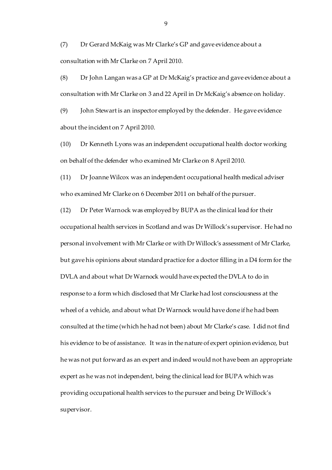(7) Dr Gerard McKaig was Mr Clarke's GP and gave evidence about a consultation with Mr Clarke on 7 April 2010.

(8) Dr John Langan was a GP at Dr McKaig's practice and gave evidence about a consultation with Mr Clarke on 3 and 22 April in Dr McKaig's absence on holiday.

(9) John Stewart is an inspector employed by the defender. He gave evidence about the incident on 7 April 2010.

(10) Dr Kenneth Lyons was an independent occupational health doctor working on behalf of the defender who examined Mr Clarke on 8 April 2010.

(11) Dr Joanne Wilcox was an independent occupational health medical adviser who examined Mr Clarke on 6 December 2011 on behalf of the pursuer.

(12) Dr Peter Warnock was employed by BUPA as the clinical lead for their occupational health services in Scotland and was Dr Willock's supervisor. He had no personal involvement with Mr Clarke or with Dr Willock's assessment of Mr Clarke, but gave his opinions about standard practice for a doctor filling in a D4 form for the DVLA and about what Dr Warnock would have expected the DVLA to do in response to a form which disclosed that Mr Clarke had lost consciousness at the wheel of a vehicle, and about what Dr Warnock would have done if he had been consulted at the time (which he had not been) about Mr Clarke's case. I did not find his evidence to be of assistance. It was in the nature of expert opinion evidence, but he was not put forward as an expert and indeed would not have been an appropriate expert as he was not independent, being the clinical lead for BUPA which was providing occupational health services to the pursuer and being Dr Willock's supervisor.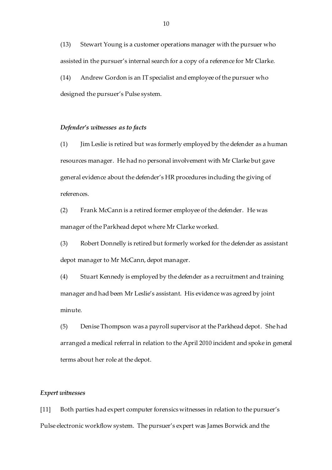(13) Stewart Young is a customer operations manager with the pursuer who assisted in the pursuer's internal search for a copy of a reference for Mr Clarke. (14) Andrew Gordon is an IT specialist and employee of the pursuer who

designed the pursuer's Pulse system.

### *Defender's witnesses as to facts*

(1) Jim Leslie is retired but was formerly employed by the defender as a human resources manager. He had no personal involvement with Mr Clarke but gave general evidence about the defender's HR procedures including the giving of references.

(2) Frank McCann is a retired former employee of the defender. He was manager of the Parkhead depot where Mr Clarke worked.

(3) Robert Donnelly is retired but formerly worked for the defender as assistant depot manager to Mr McCann, depot manager.

(4) Stuart Kennedy is employed by the defender as a recruitment and training manager and had been Mr Leslie's assistant. His evidence was agreed by joint minute.

(5) Denise Thompson was a payroll supervisor at the Parkhead depot. She had arranged a medical referral in relation to the April 2010 incident and spoke in general terms about her role at the depot.

#### *Expert witnesses*

[11] Both parties had expert computer forensics witnesses in relation to the pursuer's Pulse electronic workflow system. The pursuer's expert was James Borwick and the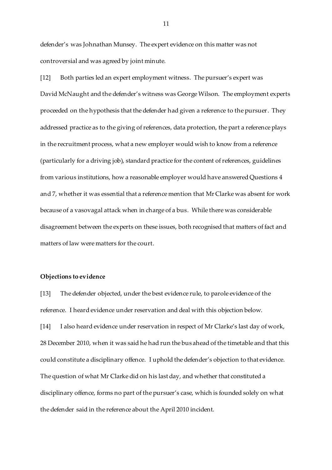defender's was Johnathan Munsey. The expert evidence on this matter was not controversial and was agreed by joint minute.

[12] Both parties led an expert employment witness. The pursuer's expert was David McNaught and the defender's witness was George Wilson. The employment experts proceeded on the hypothesis that the defender had given a reference to the pursuer. They addressed practice as to the giving of references, data protection, the part a reference plays in the recruitment process, what a new employer would wish to know from a reference (particularly for a driving job), standard practice for the content of references, guidelines from various institutions, how a reasonable employer would have answered Questions 4 and 7, whether it was essential that a reference mention that Mr Clarke was absent for work because of a vasovagal attack when in charge of a bus. While there was considerable disagreement between the experts on these issues, both recognised that matters of fact and matters of law were matters for the court.

#### **Objections to evidence**

[13] The defender objected, under the best evidence rule, to parole evidence of the reference. I heard evidence under reservation and deal with this objection below. [14] I also heard evidence under reservation in respect of Mr Clarke's last day of work, 28 December 2010, when it was said he had run the bus ahead of the timetable and that this could constitute a disciplinary offence. I uphold the defender's objection to that evidence. The question of what Mr Clarke did on his last day, and whether that constituted a disciplinary offence, forms no part of the pursuer's case, which is founded solely on what the defender said in the reference about the April 2010 incident.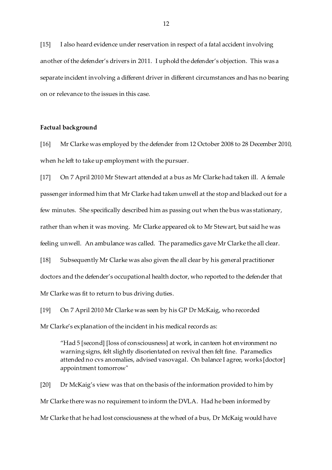[15] I also heard evidence under reservation in respect of a fatal accident involving another of the defender's drivers in 2011. I uphold the defender's objection. This was a separate incident involving a different driver in different circumstances and has no bearing on or relevance to the issues in this case.

### **Factual background**

[16] Mr Clarke was employed by the defender from 12 October 2008 to 28 December 2010, when he left to take up employment with the pursuer.

[17] On 7 April 2010 Mr Stewart attended at a bus as Mr Clarke had taken ill. A female passenger informed him that Mr Clarke had taken unwell at the stop and blacked out for a few minutes. She specifically described him as passing out when the bus was stationary, rather than when it was moving. Mr Clarke appeared ok to Mr Stewart, but said he was feeling unwell. An ambulance was called. The paramedics gave Mr Clarke the all clear. [18] Subsequently Mr Clarke was also given the all clear by his general practitioner doctors and the defender's occupational health doctor, who reported to the defender that Mr Clarke was fit to return to bus driving duties.

[19] On 7 April 2010 Mr Clarke was seen by his GP Dr McKaig, who recorded Mr Clarke's explanation of the incident in his medical records as:

"Had 5 [second] [loss of consciousness] at work, in canteen hot environment no warning signs, felt slightly disorientated on revival then felt fine. Paramedics attended no cvs anomalies, advised vasovagal. On balance I agree, works [doctor] appointment tomorrow"

[20] Dr McKaig's view was that on the basis of the information provided to him by Mr Clarke there was no requirement to inform the DVLA. Had he been informed by Mr Clarke that he had lost consciousness at the wheel of a bus, Dr McKaig would have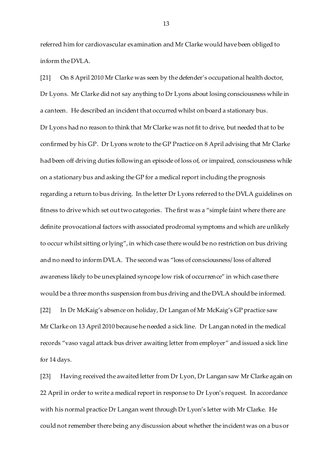referred him for cardiovascular examination and Mr Clarke would have been obliged to inform the DVLA.

[21] On 8 April 2010 Mr Clarke was seen by the defender's occupational health doctor, Dr Lyons. Mr Clarke did not say anything to Dr Lyons about losing consciousness while in a canteen. He described an incident that occurred whilst on board a stationary bus. Dr Lyons had no reason to think that Mr Clarke was not fit to drive, but needed that to be confirmed by his GP. Dr Lyons wrote to the GP Practice on 8 April advising that Mr Clarke had been off driving duties following an episode of loss of, or impaired, consciousness while on a stationary bus and asking the GP for a medical report including the prognosis regarding a return to bus driving. In the letter Dr Lyons referred to the DVLA guidelines on fitness to drive which set out two categories. The first was a "simple faint where there are definite provocational factors with associated prodromal symptoms and which are unlikely to occur whilst sitting or lying", in which case there would be no restriction on bus driving and no need to inform DVLA. The second was "loss of consciousness/ loss of altered awareness likely to be unexplained syncope low risk of occurrence" in which case there would be a three months suspension from bus driving and the DVLA should be informed. [22] In Dr McKaig's absence on holiday, Dr Langan of Mr McKaig's GP practice saw Mr Clarke on 13 April 2010 because he needed a sick line. Dr Langan noted in the medical records "vaso vagal attack bus driver awaiting letter from employer" and issued a sick line for 14 days.

[23] Having received the awaited letter from Dr Lyon, Dr Langan saw Mr Clarke again on 22 April in order to write a medical report in response to Dr Lyon's request. In accordance with his normal practice Dr Langan went through Dr Lyon's letter with Mr Clarke. He could not remember there being any discussion about whether the incident was on a bus or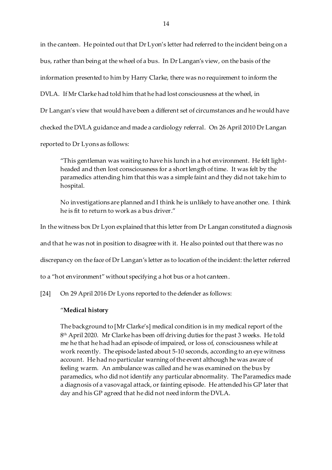in the canteen. He pointed out that Dr Lyon's letter had referred to the incident being on a bus, rather than being at the wheel of a bus. In Dr Langan's view, on the basis of the information presented to him by Harry Clarke, there was no requirement to inform the DVLA. If Mr Clarke had told him that he had lost consciousness at the wheel, in Dr Langan's view that would have been a different set of circumstances and he would have checked the DVLA guidance and made a cardiology referral. On 26 April 2010 Dr Langan reported to Dr Lyons as follows:

"This gentleman was waiting to have his lunch in a hot environment. He felt lightheaded and then lost consciousness for a short length of time. It was felt by the paramedics attending him that this was a simple faint and they did not take him to hospital.

No investigations are planned and I think he is unlikely to have another one. I think he is fit to return to work as a bus driver."

In the witness box Dr Lyon explained that this letter from Dr Langan constituted a diagnosis

and that he was not in position to disagree with it. He also pointed out that there was no

discrepancy on the face of Dr Langan's letter as to location of the incident: the letter referred

to a "hot environment" without specifying a hot bus or a hot canteen.

[24] On 29 April 2016 Dr Lyons reported to the defender as follows:

#### "**Medical history**

The background to [Mr Clarke's] medical condition is in my medical report of the 8 th April 2020. Mr Clarke has been off driving duties for the past 3 weeks. He told me he that he had had an episode of impaired, or loss of, consciousness while at work recently. The episode lasted about 5-10 seconds, according to an eye witness account. He had no particular warning of the event although he was aware of feeling warm. An ambulance was called and he was examined on the bus by paramedics, who did not identify any particular abnormality. The Paramedics made a diagnosis of a vasovagal attack, or fainting episode. He attended his GP later that day and his GP agreed that he did not need inform the DVLA.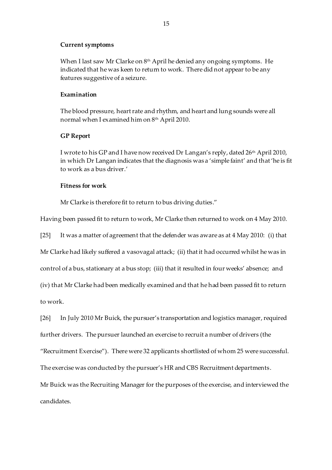# **Current symptoms**

When I last saw Mr Clarke on 8th April he denied any ongoing symptoms. He indicated that he was keen to return to work. There did not appear to be any features suggestive of a seizure.

# **Examination**

The blood pressure, heart rate and rhythm, and heart and lung sounds were all normal when I examined him on 8<sup>th</sup> April 2010.

# **GP Report**

I wrote to his GP and I have now received Dr Langan's reply, dated 26th April 2010, in which Dr Langan indicates that the diagnosis was a 'simple faint' and that 'he is fit to work as a bus driver.'

#### **Fitness for work**

Mr Clarke is therefore fit to return to bus driving duties."

Having been passed fit to return to work, Mr Clarke then returned to work on 4 May 2010.

[25] It was a matter of agreement that the defender was aware as at 4 May 2010: (i) that Mr Clarke had likely suffered a vasovagal attack; (ii) that it had occurred whilst he was in control of a bus, stationary at a bus stop; (iii) that it resulted in four weeks' absence; and (iv) that Mr Clarke had been medically examined and that he had been passed fit to return to work.

[26] In July 2010 Mr Buick, the pursuer's transportation and logistics manager, required further drivers. The pursuer launched an exercise to recruit a number of drivers (the "Recruitment Exercise"). There were 32 applicants shortlisted of whom 25 were successful. The exercise was conducted by the pursuer's HR and CBS Recruitment departments. Mr Buick was the Recruiting Manager for the purposes of the exercise, and interviewed the candidates.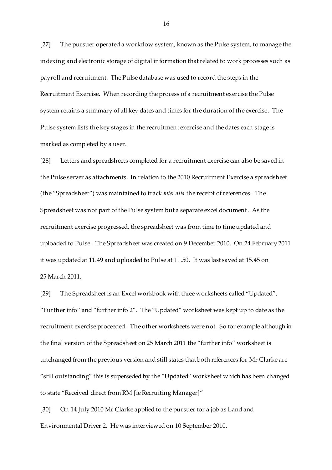[27] The pursuer operated a workflow system, known as the Pulse system, to manage the indexing and electronic storage of digital information that related to work processes such as payroll and recruitment. The Pulse database was used to record the steps in the Recruitment Exercise. When recording the process of a recruitment exercise the Pulse system retains a summary of all key dates and times for the duration of the exercise. The Pulse system lists the key stages in the recruitment exercise and the dates each stage is marked as completed by a user.

[28] Letters and spreadsheets completed for a recruitment exercise can also be saved in the Pulse server as attachments. In relation to the 2010 Recruitment Exercise a spreadsheet (the "Spreadsheet") was maintained to track *inter alia* the receipt of references. The Spreadsheet was not part of the Pulse system but a separate excel document. As the recruitment exercise progressed, the spreadsheet was from time to time updated and uploaded to Pulse. The Spreadsheet was created on 9 December 2010. On 24 February 2011 it was updated at 11.49 and uploaded to Pulse at 11.50. It was last saved at 15.45 on 25 March 2011.

[29] The Spreadsheet is an Excel workbook with three worksheets called "Updated", "Further info" and "further info 2". The "Updated" worksheet was kept up to date as the recruitment exercise proceeded. The other worksheets were not. So for example although in the final version of the Spreadsheet on 25 March 2011 the "further info" worksheet is unchanged from the previous version and still states that both references for Mr Clarke are "still outstanding" this is superseded by the "Updated" worksheet which has been changed to state "Received direct from RM [ie Recruiting Manager]"

[30] On 14 July 2010 Mr Clarke applied to the pursuer for a job as Land and Environmental Driver 2. He was interviewed on 10 September 2010.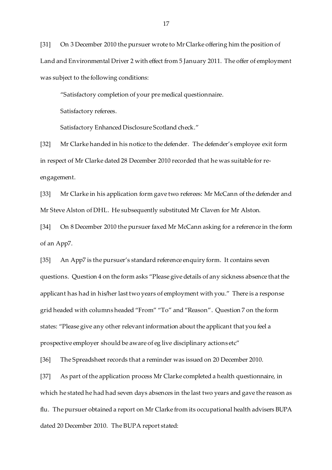[31] On 3 December 2010 the pursuer wrote to Mr Clarke offering him the position of Land and Environmental Driver 2 with effect from 5 January 2011. The offer of employment was subject to the following conditions:

"Satisfactory completion of your pre medical questionnaire.

Satisfactory referees.

Satisfactory Enhanced Disclosure Scotland check."

[32] Mr Clarke handed in his notice to the defender. The defender's employee exit form in respect of Mr Clarke dated 28 December 2010 recorded that he was suitable for reengagement.

[33] Mr Clarke in his application form gave two referees: Mr McCann of the defender and Mr Steve Alston of DHL. He subsequently substituted Mr Claven for Mr Alston.

[34] On 8 December 2010 the pursuer faxed Mr McCann asking for a reference in the form of an App7.

[35] An App7 is the pursuer's standard reference enquiry form. It contains seven questions. Question 4 on the form asks "Please give details of any sickness absence that the applicant has had in his/her last two years of employment with you." There is a response grid headed with columns headed "From" "To" and "Reason". Question 7 on the form states: "Please give any other relevant information about the applicant that you feel a prospective employer should be aware of eg live disciplinary actions etc"

[36] The Spreadsheet records that a reminder was issued on 20 December 2010.

[37] As part of the application process Mr Clarke completed a health questionnaire, in which he stated he had had seven days absences in the last two years and gave the reason as flu. The pursuer obtained a report on Mr Clarke from its occupational health advisers BUPA dated 20 December 2010. The BUPA report stated: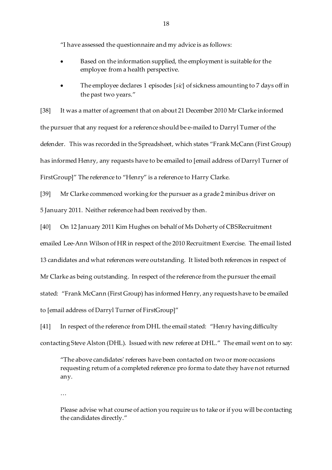"I have assessed the questionnaire and my advice is as follows:

- Based on the information supplied, the employment is suitable for the employee from a health perspective.
- The employee declares 1 episodes [*sic*] of sickness amounting to 7 days off in the past two years."

[38] It was a matter of agreement that on about 21 December 2010 Mr Clarke informed the pursuer that any request for a reference should be e-mailed to Darryl Turner of the defender. This was recorded in the Spreadsheet, which states "Frank McCann (First Group) has informed Henry, any requests have to be emailed to [email address of Darryl Turner of FirstGroup]" The reference to "Henry" is a reference to Harry Clarke.

[39] Mr Clarke commenced working for the pursuer as a grade 2 minibus driver on 5 January 2011. Neither reference had been received by then.

[40] On 12 January 2011 Kim Hughes on behalf of Ms Doherty of CBSRecruitment

emailed Lee-Ann Wilson of HR in respect of the 2010 Recruitment Exercise. The email listed

13 candidates and what references were outstanding. It listed both references in respect of

Mr Clarke as being outstanding. In respect of the reference from the pursuer the email

stated: "Frank McCann (First Group) has informed Henry, any requests have to be emailed

to [email address of Darryl Turner of FirstGroup]"

[41] In respect of the reference from DHL the email stated: "Henry having difficulty contacting Steve Alston (DHL). Issued with new referee at DHL." The email went on to say:

"The above candidates' referees have been contacted on two or more occasions requesting return of a completed reference pro forma to date they have not returned any.

…

Please advise what course of action you require us to take or if you will be contacting the candidates directly."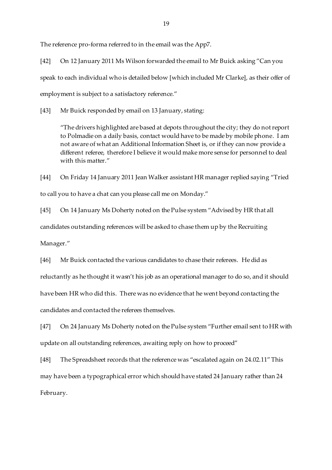The reference pro-forma referred to in the email was the App7.

[42] On 12 January 2011 Ms Wilson forwarded the email to Mr Buick asking "Can you speak to each individual who is detailed below [which included Mr Clarke], as their offer of employment is subject to a satisfactory reference."

[43] Mr Buick responded by email on 13 January, stating:

"The drivers highlighted are based at depots throughout the city; they do not report to Polmadie on a daily basis, contact would have to be made by mobile phone. I am not aware of what an Additional Information Sheet is, or if they can now provide a different referee, therefore I believe it would make more sense for personnel to deal with this matter."

[44] On Friday 14 January 2011 Jean Walker assistant HR manager replied saying "Tried to call you to have a chat can you please call me on Monday."

[45] On 14 January Ms Doherty noted on the Pulse system "Advised by HR that all candidates outstanding references will be asked to chase them up by the Recruiting Manager."

[46] Mr Buick contacted the various candidates to chase their referees. He did as reluctantly as he thought it wasn't his job as an operational manager to do so, and it should have been HR who did this. There was no evidence that he went beyond contacting the candidates and contacted the referees themselves.

[47] On 24 January Ms Doherty noted on the Pulse system "Further email sent to HR with update on all outstanding references, awaiting reply on how to proceed"

[48] The Spreadsheet records that the reference was "escalated again on 24.02.11"This may have been a typographical error which should have stated 24 January rather than 24 February.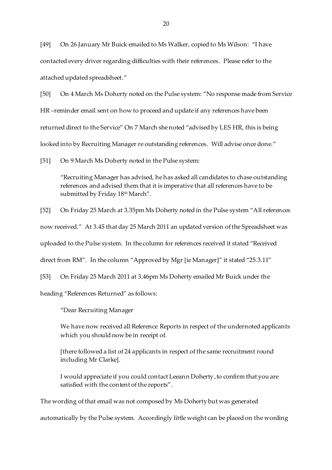[49] On 26 January Mr Buick emailed to Ms Walker, copied to Ms Wilson: "I have contacted every driver regarding difficulties with their references. Please refer to the attached updated spreadsheet."

[50] On 4 March Ms Doherty noted on the Pulse system: "No response made from Service HR –reminder email sent on how to proceed and update if any references have been returned direct to the Service" On 7 March she noted "advised by LES HR, this is being looked into by Recruiting Manager re outstanding references. Will advise once done."

[51] On 9 March Ms Doherty noted in the Pulse system:

"Recruiting Manager has advised, he has asked all candidates to chase outstanding references and advised them that it is imperative that all references have to be submitted by Friday 18<sup>th</sup> March".

[52] On Friday 25 March at 3.35pm Ms Doherty noted in the Pulse system "All references

now received." At 3.45 that day 25 March 2011 an updated version of the Spreadsheet was

uploaded to the Pulse system. In the column for references received it stated "Received

direct from RM". In the column "Approved by Mgr [ie Manager]" it stated "25.3.11"

[53] On Friday 25 March 2011 at 3.46pm Ms Doherty emailed Mr Buick under the

heading "References Returned" as follows:

"Dear Recruiting Manager

We have now received all Reference Reports in respect of the undernoted applicants which you should now be in receipt of.

[there followed a list of 24 applicants in respect of the same recruitment round including Mr Clarke].

I would appreciate if you could contact Leeann Doherty..to confirm that you are satisfied with the content of the reports".

The wording of that email was not composed by Ms Doherty but was generated

automatically by the Pulse system. Accordingly little weight can be placed on the wording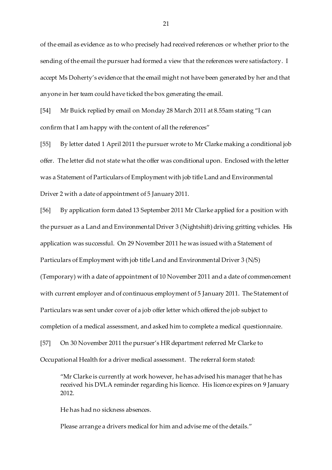of the email as evidence as to who precisely had received references or whether prior to the sending of the email the pursuer had formed a view that the references were satisfactory. I accept Ms Doherty's evidence that the email might not have been generated by her and that anyone in her team could have ticked the box generating the email.

[54] Mr Buick replied by email on Monday 28 March 2011 at 8.55am stating "I can confirm that I am happy with the content of all the references"

[55] By letter dated 1 April 2011 the pursuer wrote to Mr Clarke making a conditional job offer. The letter did not state what the offer was conditional upon. Enclosed with the letter was a Statement of Particulars of Employment with job title Land and Environmental Driver 2 with a date of appointment of 5 January 2011.

[56] By application form dated 13 September 2011 Mr Clarke applied for a position with the pursuer as a Land and Environmental Driver 3 (Nightshift) driving gritting vehicles. His application was successful. On 29 November 2011 he was issued with a Statement of Particulars of Employment with job title Land and Environmental Driver 3 (N/S) (Temporary) with a date of appointment of 10 November 2011 and a date of commencement with current employer and of continuous employment of 5 January 2011. The Statement of Particulars was sent under cover of a job offer letter which offered the job subject to completion of a medical assessment, and asked him to complete a medical questionnaire. [57] On 30 November 2011 the pursuer's HR department referred Mr Clarke to Occupational Health for a driver medical assessment. The referral form stated:

"Mr Clarke is currently at work however, he has advised his manager that he has received his DVLA reminder regarding his licence. His licence expires on 9 January 2012.

He has had no sickness absences.

Please arrange a drivers medical for him and advise me of the details."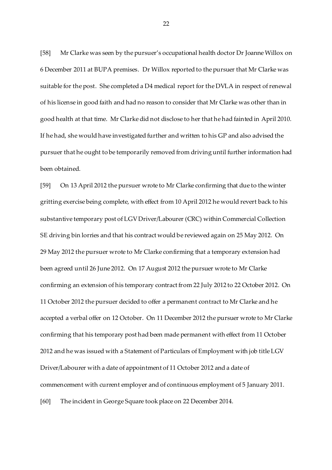[58] Mr Clarke was seen by the pursuer's occupational health doctor Dr Joanne Willox on 6 December 2011 at BUPA premises. Dr Willox reported to the pursuer that Mr Clarke was suitable for the post. She completed a D4 medical report for the DVLA in respect of renewal of his license in good faith and had no reason to consider that Mr Clarke was other than in good health at that time. Mr Clarke did not disclose to her that he had fainted in April 2010. If he had, she would have investigated further and written to his GP and also advised the pursuer that he ought to be temporarily removed from driving until further information had been obtained.

[59] On 13 April 2012 the pursuer wrote to Mr Clarke confirming that due to the winter gritting exercise being complete, with effect from 10 April 2012 he would revert back to his substantive temporary post of LGV Driver/Labourer (CRC) within Commercial Collection SE driving bin lorries and that his contract would be reviewed again on 25 May 2012. On 29 May 2012 the pursuer wrote to Mr Clarke confirming that a temporary extension had been agreed until 26 June 2012. On 17 August 2012 the pursuer wrote to Mr Clarke confirming an extension of his temporary contract from 22 July 2012 to 22 October 2012. On 11 October 2012 the pursuer decided to offer a permanent contract to Mr Clarke and he accepted a verbal offer on 12 October. On 11 December 2012 the pursuer wrote to Mr Clarke confirming that his temporary post had been made permanent with effect from 11 October 2012 and he was issued with a Statement of Particulars of Employment with job title LGV Driver/Labourer with a date of appointment of 11 October 2012 and a date of commencement with current employer and of continuous employment of 5 January 2011. [60] The incident in George Square took place on 22 December 2014.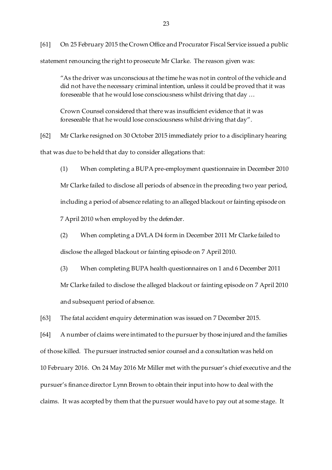[61] On 25 February 2015 the Crown Office and Procurator Fiscal Service issued a public statement renouncing the right to prosecute Mr Clarke. The reason given was:

"As the driver was unconscious at the time he was not in control of the vehicle and did not have the necessary criminal intention, unless it could be proved that it was foreseeable that he would lose consciousness whilst driving that day …

Crown Counsel considered that there was insufficient evidence that it was foreseeable that he would lose consciousness whilst driving that day".

[62] Mr Clarke resigned on 30 October 2015 immediately prior to a disciplinary hearing that was due to be held that day to consider allegations that:

(1) When completing a BUPA pre-employment questionnaire in December 2010 Mr Clarke failed to disclose all periods of absence in the preceding two year period, including a period of absence relating to an alleged blackout or fainting episode on 7 April 2010 when employed by the defender.

(2) When completing a DVLA D4 form in December 2011 Mr Clarke failed to disclose the alleged blackout or fainting episode on 7 April 2010.

(3) When completing BUPA health questionnaires on 1 and 6 December 2011 Mr Clarke failed to disclose the alleged blackout or fainting episode on 7 April 2010

and subsequent period of absence.

[63] The fatal accident enquiry determination was issued on 7 December 2015.

[64] A number of claims were intimated to the pursuer by those injured and the families of those killed. The pursuer instructed senior counsel and a consultation was held on 10 February 2016. On 24 May 2016 Mr Miller met with the pursuer's chief executive and the pursuer's finance director Lynn Brown to obtain their input into how to deal with the claims. It was accepted by them that the pursuer would have to pay out at some stage. It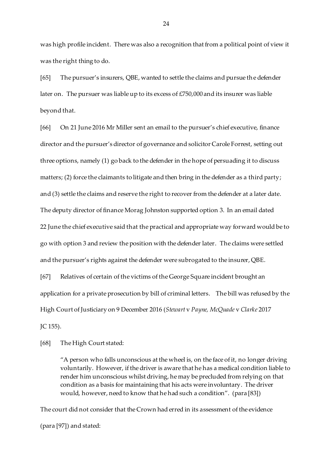was high profile incident. There was also a recognition that from a political point of view it was the right thing to do.

[65] The pursuer's insurers, QBE, wanted to settle the claims and pursue the defender later on. The pursuer was liable up to its excess of £750,000 and its insurer was liable beyond that.

[66] On 21 June 2016 Mr Miller sent an email to the pursuer's chief executive, finance director and the pursuer's director of governance and solicitor Carole Forrest, setting out three options, namely (1) go back to the defender in the hope of persuading it to discuss matters; (2) force the claimants to litigate and then bring in the defender as a third party; and (3) settle the claims and reserve the right to recover from the defender at a later date. The deputy director of finance Morag Johnston supported option 3. In an email dated 22 June the chief executive said that the practical and appropriate way forward would be to go with option 3 and review the position with the defender later. The claims were settled and the pursuer's rights against the defender were subrogated to the insurer, QBE. [67] Relatives of certain of the victims of the George Square incident brought an

application for a private prosecution by bill of criminal letters. The bill was refused by the High Court of Justiciary on 9 December 2016 (*Stewart* v *Payne, McQuade* v *Clarke* 2017 JC 155).

[68] The High Court stated:

"A person who falls unconscious at the wheel is, on the face of it, no longer driving voluntarily. However, if the driver is aware that he has a medical condition liable to render him unconscious whilst driving, he may be precluded from relying on that condition as a basis for maintaining that his acts were involuntary. The driver would, however, need to know that he had such a condition". (para [83])

The court did not consider that the Crown had erred in its assessment of the evidence (para [97]) and stated: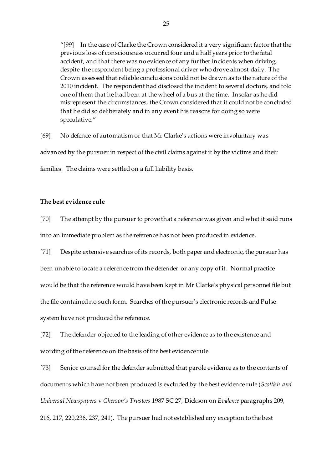"[99] In the case of Clarke the Crown considered it a very significant factor that the previous loss of consciousness occurred four and a half years prior to the fatal accident, and that there was no evidence of any further incidents when driving, despite the respondent being a professional driver who drove almost daily. The Crown assessed that reliable conclusions could not be drawn as to the nature of the 2010 incident. The respondent had disclosed the incident to several doctors, and told one of them that he had been at the wheel of a bus at the time. Insofar as he did misrepresent the circumstances, the Crown considered that it could not be concluded that he did so deliberately and in any event his reasons for doing so were speculative."

[69] No defence of automatism or that Mr Clarke's actions were involuntary was advanced by the pursuer in respect of the civil claims against it by the victims and their families. The claims were settled on a full liability basis.

# **The best evidence rule**

[70] The attempt by the pursuer to prove that a reference was given and what it said runs into an immediate problem as the reference has not been produced in evidence.

[71] Despite extensive searches of its records, both paper and electronic, the pursuer has been unable to locate a reference from the defender or any copy of it. Normal practice would be that the reference would have been kept in Mr Clarke's physical personnel file but the file contained no such form. Searches of the pursuer's electronic records and Pulse system have not produced the reference.

[72] The defender objected to the leading of other evidence as to the existence and wording of the reference on the basis of the best evidence rule.

[73] Senior counsel for the defender submitted that parole evidence as to the contents of documents which have not been produced is excluded by the best evidence rule (*Scottish and Universal Newspapers* v *Gherson's Trustees* 1987 SC 27, Dickson on *Evidence* paragraphs 209, 216, 217, 220,236, 237, 241). The pursuer had not established any exception to the best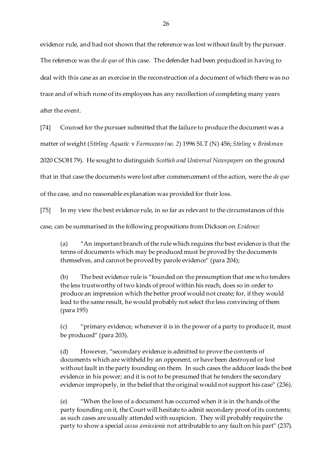evidence rule, and had not shown that the reference was lost without fault by the pursuer.

The reference was the *de quo* of this case. The defender had been prejudiced in having to

deal with this case as an exercise in the reconstruction of a document of which there was no

trace and of which none of its employees has any recollection of completing many years

after the event.

[74] Counsel for the pursuer submitted that the failure to produce the document was a

matter of weight (*Stirling Aquatic* v *Farmocean (no. 2*) 1996 SLT (N) 456; *Stirling* v *Brinkman*

2020 CSOH 79). He sought to distinguish *Scottish and Universal Newspapers* on the ground

that in that case the documents were lost after commencement of the action, were the *de quo*

of the case, and no reasonable explanation was provided for their loss.

[75] In my view the best evidence rule, in so far as relevant to the circumstances of this

case, can be summarised in the following propositions from Dickson on *Evidence*:

(a) "An important branch of the rule which requires the best evidence is that the terms of documents which may be produced must be proved by the documents themselves, and cannot be proved by parole evidence" (para 204);

(b) The best evidence rule is "founded on the presumption that one who tenders the less trustworthy of two kinds of proof within his reach, does so in order to produce an impression which the better proof would not create; for, if they would lead to the same result, he would probably not select the less convincing of them (para 195)

(c) "primary evidence, whenever it is in the power of a party to produce it, must be produced" (para 203).

(d) However, "secondary evidence is admitted to prove the contents of documents which are withheld by an opponent, or have been destroyed or lost without fault in the party founding on them. In such cases the adducer leads the best evidence in his power; and it is not to be presumed that he tenders the secondary evidence improperly, in the belief that the original would not support his case" (236).

(e) "When the loss of a document has occurred when it is in the hands of the party founding on it, the Court will hesitate to admit secondary proof of its contents; as such cases are usually attended with suspicion. They will probably require the party to show a special *casus amissionis* not attributable to any fault on his part" (237).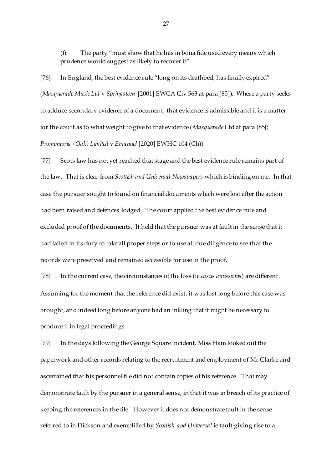(f) The party "must show that he has in bona fide used every means which prudence would suggest as likely to recover it"

[76] In England, the best evidence rule "long on its deathbed, has finally expired" (*Masquerade Music Ltd* v *Springsteen* [2001] EWCA Civ 563 at para [85]). Where a party seeks to adduce secondary evidence of a document, that evidence is admissible and it is a matter for the court as to what weight to give to that evidence (*Masquerade* Ltd at para [85]; *Promontoria (Oak) Limited* v *Emanuel* [2020] EWHC 104 (Ch))

[77] Scots law has not yet reached that stage and the best evidence rule remains part of the law. That is clear from *Scottish and Universal Newspapers* which is binding on me. In that case the pursuer sought to found on financial documents which were lost after the action had been raised and defences lodged. The court applied the best evidence rule and excluded proof of the documents. It held that the pursuer was at fault in the sense that it had failed in its duty to take all proper steps or to use all due diligence to see that the records were preserved and remained accessible for use in the proof.

[78] In the current case, the circumstances of the loss (ie *casus amissionis*) are different. Assuming for the moment that the reference did exist, it was lost long before this case was brought, and indeed long before anyone had an inkling that it might be necessary to produce it in legal proceedings.

[79] In the days following the George Square incident, Miss Ham looked out the paperwork and other records relating to the recruitment and employment of Mr Clarke and ascertained that his personnel file did not contain copies of his reference. That may demonstrate fault by the pursuer in a general sense, in that it was in breach of its practice of keeping the references in the file. However it does not demonstrate fault in the sense referred to in Dickson and exemplified by *Scottish and Universal* ie fault giving rise to a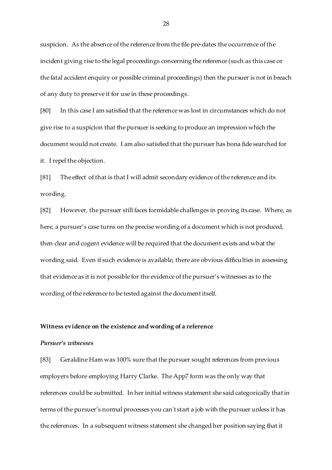suspicion. As the absence of the reference from the file pre-dates the occurrence of the incident giving rise to the legal proceedings concerning the reference (such as this case or the fatal accident enquiry or possible criminal proceedings) then the pursuer is not in breach of any duty to preserve it for use in these proceedings.

[80] In this case I am satisfied that the reference was lost in circumstances which do not give rise to a suspicion that the pursuer is seeking to produce an impression which the document would not create. I am also satisfied that the pursuer has bona fide searched for it. I repel the objection.

[81] The effect of that is that I will admit secondary evidence of the reference and its wording.

[82] However, the pursuer still faces formidable challenges in proving its case. Where, as here, a pursuer's case turns on the precise wording of a document which is not produced, then clear and cogent evidence will be required that the document exists and what the wording said. Even if such evidence is available, there are obvious difficulties in assessing that evidence as it is not possible for the evidence of the pursuer's witnesses as to the wording of the reference to be tested against the document itself.

#### **Witness evidence on the existence and wording of a reference**

#### *Pursuer's witnesses*

[83] Geraldine Ham was 100% sure that the pursuer sought references from previous employers before employing Harry Clarke. The App7 form was the only way that references could be submitted. In her initial witness statement she said categorically that in terms of the pursuer's normal processes you can't start a job with the pursuer unless it has the references. In a subsequent witness statement she changed her position saying that it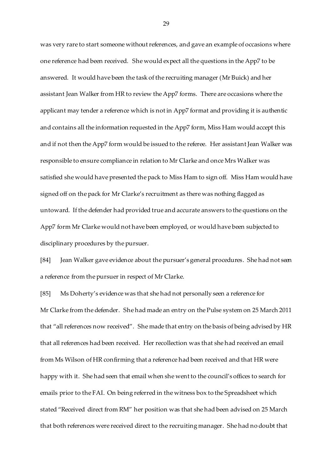was very rare to start someone without references, and gave an example of occasions where one reference had been received. She would expect all the questions in the App7 to be answered. It would have been the task of the recruiting manager (Mr Buick) and her assistant Jean Walker from HR to review the App7 forms. There are occasions where the applicant may tender a reference which is not in App7 format and providing it is authentic and contains all the information requested in the App7 form, Miss Ham would accept this and if not then the App7 form would be issued to the referee. Her assistant Jean Walker was responsible to ensure compliance in relation to Mr Clarke and once Mrs Walker was satisfied she would have presented the pack to Miss Ham to sign off. Miss Ham would have signed off on the pack for Mr Clarke's recruitment as there was nothing flagged as untoward. If the defender had provided true and accurate answers to the questions on the App7 form Mr Clarke would not have been employed, or would have been subjected to disciplinary procedures by the pursuer.

[84] Jean Walker gave evidence about the pursuer's general procedures. She had not seen a reference from the pursuer in respect of Mr Clarke.

[85] Ms Doherty's evidence was that she had not personally seen a reference for Mr Clarke from the defender. She had made an entry on the Pulse system on 25 March 2011 that "all references now received". She made that entry on the basis of being advised by HR that all references had been received. Her recollection was that she had received an email from Ms Wilson of HR confirming that a reference had been received and that HR were happy with it. She had seen that email when she went to the council's offices to search for emails prior to the FAI. On being referred in the witness box to the Spreadsheet which stated "Received direct from RM" her position was that she had been advised on 25 March that both references were received direct to the recruiting manager. She had no doubt that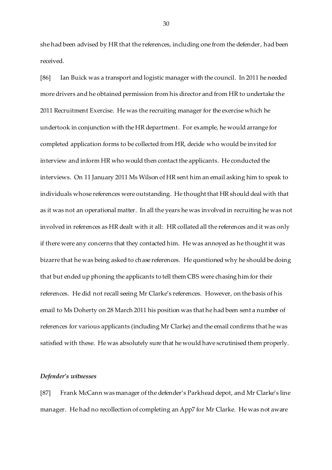she had been advised by HR that the references, including one from the defender, had been received.

[86] Ian Buick was a transport and logistic manager with the council. In 2011 he needed more drivers and he obtained permission from his director and from HR to undertake the 2011 Recruitment Exercise. He was the recruiting manager for the exercise which he undertook in conjunction with the HR department. For example, he would arrange for completed application forms to be collected from HR, decide who would be invited for interview and inform HR who would then contact the applicants. He conducted the interviews. On 11 January 2011 Ms Wilson of HR sent him an email asking him to speak to individuals whose references were outstanding. He thought that HR should deal with that as it was not an operational matter. In all the years he was involved in recruiting he was not involved in references as HR dealt with it all: HR collated all the references and it was only if there were any concerns that they contacted him. He was annoyed as he thought it was bizarre that he was being asked to chase references. He questioned why he should be doing that but ended up phoning the applicants to tell them CBS were chasing him for their references. He did not recall seeing Mr Clarke's references. However, on the basis of his email to Ms Doherty on 28 March 2011 his position was that he had been sent a number of references for various applicants (including Mr Clarke) and the email confirms that he was satisfied with these. He was absolutely sure that he would have scrutinised them properly.

#### *Defender's witnesses*

[87] Frank McCann was manager of the defender's Parkhead depot, and Mr Clarke's line manager. He had no recollection of completing an App7 for Mr Clarke. He was not aware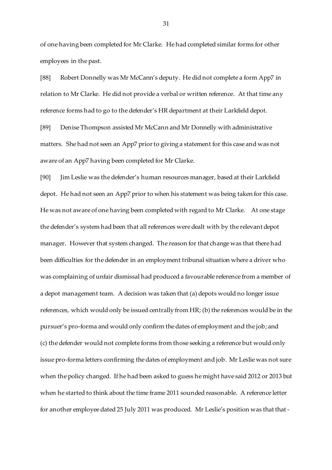of one having been completed for Mr Clarke. He had completed similar forms for other employees in the past.

[88] Robert Donnelly was Mr McCann's deputy. He did not complete a form App7 in relation to Mr Clarke. He did not provide a verbal or written reference. At that time any reference forms had to go to the defender's HR department at their Larkfield depot.

[89] Denise Thompson assisted Mr McCann and Mr Donnelly with administrative matters. She had not seen an App7 prior to giving a statement for this case and was not aware of an App7 having been completed for Mr Clarke.

[90] Jim Leslie was the defender's human resources manager, based at their Larkfield depot. He had not seen an App7 prior to when his statement was being taken for this case. He was not aware of one having been completed with regard to Mr Clarke. At one stage the defender's system had been that all references were dealt with by the relevant depot manager. However that system changed. The reason for that change was that there had been difficulties for the defender in an employment tribunal situation where a driver who was complaining of unfair dismissal had produced a favourable reference from a member of a depot management team. A decision was taken that (a) depots would no longer issue references, which would only be issued centrally from HR; (b) the references would be in the pursuer's pro-forma and would only confirm the dates of employment and the job; and (c) the defender would not complete forms from those seeking a reference but would only issue pro-forma letters confirming the dates of employment and job. Mr Leslie was not sure when the policy changed. If he had been asked to guess he might have said 2012 or 2013 but when he started to think about the time frame 2011 sounded reasonable. A reference letter for another employee dated 25 July 2011 was produced. Mr Leslie's position was that that -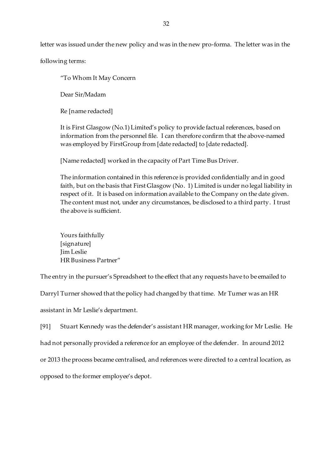letter was issued under the new policy and was in the new pro-forma. The letter was in the

following terms:

"To Whom It May Concern

Dear Sir/Madam

Re [name redacted]

It is First Glasgow (No.1) Limited's policy to provide factual references, based on information from the personnel file. I can therefore confirm that the above-named was employed by FirstGroup from [date redacted] to [date redacted].

[Name redacted] worked in the capacity of Part Time Bus Driver.

The information contained in this reference is provided confidentially and in good faith, but on the basis that First Glasgow (No. 1) Limited is under no legal liability in respect of it. It is based on information available to the Company on the date given. The content must not, under any circumstances, be disclosed to a third party. I trust the above is sufficient.

Yours faithfully [signature] Jim Leslie HR Business Partner"

The entry in the pursuer's Spreadsheet to the effect that any requests have to be emailed to

Darryl Turner showed that the policy had changed by that time. Mr Turner was an HR

assistant in Mr Leslie's department.

[91] Stuart Kennedy was the defender's assistant HR manager, working for Mr Leslie. He had not personally provided a reference for an employee of the defender. In around 2012 or 2013 the process became centralised, and references were directed to a central location, as opposed to the former employee's depot.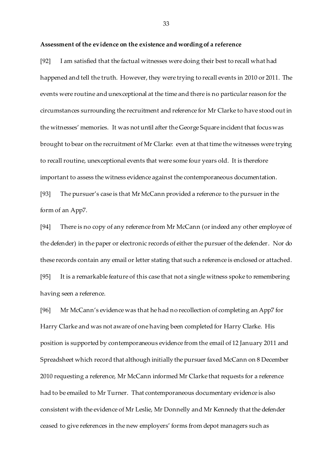#### **Assessment of the evidence on the existence and wording of a reference**

[92] I am satisfied that the factual witnesses were doing their best to recall what had happened and tell the truth. However, they were trying to recall events in 2010 or 2011. The events were routine and unexceptional at the time and there is no particular reason for the circumstances surrounding the recruitment and reference for Mr Clarke to have stood out in the witnesses' memories. It was not until after the George Square incident that focus was brought to bear on the recruitment of Mr Clarke: even at that time the witnesses were trying to recall routine, unexceptional events that were some four years old. It is therefore important to assess the witness evidence against the contemporaneous documentation.

[93] The pursuer's case is that Mr McCann provided a reference to the pursuer in the form of an App7.

[94] There is no copy of any reference from Mr McCann (or indeed any other employee of the defender) in the paper or electronic records of either the pursuer of the defender. Nor do these records contain any email or letter stating that such a reference is enclosed or attached. [95] It is a remarkable feature of this case that not a single witness spoke to remembering having seen a reference.

[96] Mr McCann's evidence was that he had no recollection of completing an App7 for Harry Clarke and was not aware of one having been completed for Harry Clarke. His position is supported by contemporaneous evidence from the email of 12 January 2011 and Spreadsheet which record that although initially the pursuer faxed McCann on 8 December 2010 requesting a reference, Mr McCann informed Mr Clarke that requests for a reference had to be emailed to Mr Turner. That contemporaneous documentary evidence is also consistent with the evidence of Mr Leslie, Mr Donnelly and Mr Kennedy that the defender ceased to give references in the new employers' forms from depot managers such as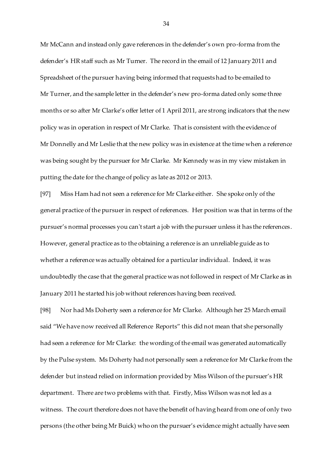Mr McCann and instead only gave references in the defender's own pro-forma from the defender's HR staff such as Mr Turner. The record in the email of 12 January 2011 and Spreadsheet of the pursuer having being informed that requests had to be emailed to Mr Turner, and the sample letter in the defender's new pro-forma dated only some three months or so after Mr Clarke's offer letter of 1 April 2011, are strong indicators that the new policy was in operation in respect of Mr Clarke. That is consistent with the evidence of Mr Donnelly and Mr Leslie that the new policy was in existence at the time when a reference was being sought by the pursuer for Mr Clarke. Mr Kennedy was in my view mistaken in putting the date for the change of policy as late as 2012 or 2013.

[97] Miss Ham had not seen a reference for Mr Clarke either. She spoke only of the general practice of the pursuer in respect of references. Her position was that in terms of the pursuer's normal processes you can't start a job with the pursuer unless it has the references. However, general practice as to the obtaining a reference is an unreliable guide as to whether a reference was actually obtained for a particular individual. Indeed, it was undoubtedly the case that the general practice was not followed in respect of Mr Clarke as in January 2011 he started his job without references having been received.

[98] Nor had Ms Doherty seen a reference for Mr Clarke. Although her 25 March email said "We have now received all Reference Reports" this did not mean that she personally had seen a reference for Mr Clarke: the wording of the email was generated automatically by the Pulse system. Ms Doherty had not personally seen a reference for Mr Clarke from the defender but instead relied on information provided by Miss Wilson of the pursuer's HR department. There are two problems with that. Firstly, Miss Wilson was not led as a witness. The court therefore does not have the benefit of having heard from one of only two persons (the other being Mr Buick) who on the pursuer's evidence might actually have seen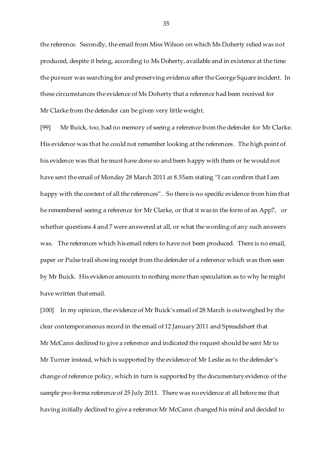the reference. Secondly, the email from Miss Wilson on which Ms Doherty relied was not produced, despite it being, according to Ms Doherty, available and in existence at the time the pursuer was searching for and preserving evidence after the George Square incident. In these circumstances the evidence of Ms Doherty that a reference had been received for Mr Clarke from the defender can be given very little weight.

[99] Mr Buick, too, had no memory of seeing a reference from the defender for Mr Clarke. His evidence was that he could not remember looking at the references. The high point of his evidence was that he must have done so and been happy with them or he would not have sent the email of Monday 28 March 2011 at 8.55am stating "I can confirm that I am happy with the content of all the references". So there is no specific evidence from him that he remembered seeing a reference for Mr Clarke, or that it was in the form of an App7, or whether questions 4 and 7 were answered at all, or what the wording of any such answers was. The references which his email refers to have not been produced. There is no email, paper or Pulse trail showing receipt from the defender of a reference which was then seen by Mr Buick. His evidence amounts to nothing more than speculation as to why he might have written that email.

[100] In my opinion, the evidence of Mr Buick's email of 28 March is outweighed by the clear contemporaneous record in the email of 12 January 2011 and Spreadsheet that Mr McCann declined to give a reference and indicated the request should be sent Mr to Mr Turner instead, which is supported by the evidence of Mr Leslie as to the defender's change of reference policy, which in turn is supported by the documentary evidence of the sample pro-forma reference of 25 July 2011. There was no evidence at all before me that having initially declined to give a reference Mr McCann changed his mind and decided to